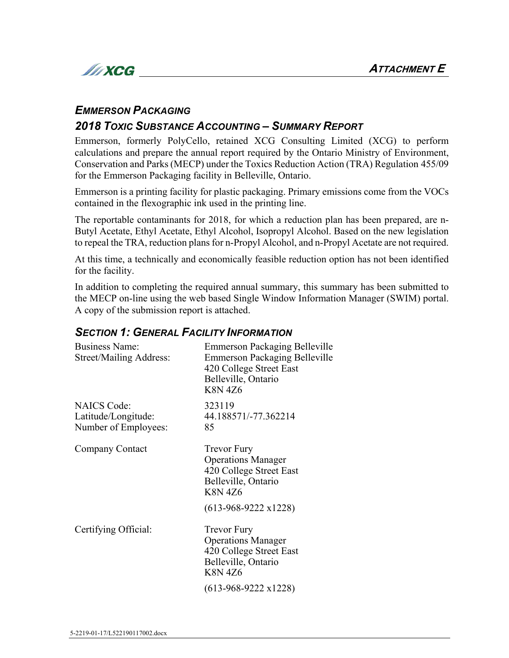

### *EMMERSON PACKAGING*

## *2018 TOXIC SUBSTANCE ACCOUNTING – SUMMARY REPORT*

Emmerson, formerly PolyCello, retained XCG Consulting Limited (XCG) to perform calculations and prepare the annual report required by the Ontario Ministry of Environment, Conservation and Parks (MECP) under the Toxics Reduction Action (TRA) Regulation 455/09 for the Emmerson Packaging facility in Belleville, Ontario.

Emmerson is a printing facility for plastic packaging. Primary emissions come from the VOCs contained in the flexographic ink used in the printing line.

The reportable contaminants for 2018, for which a reduction plan has been prepared, are n-Butyl Acetate, Ethyl Acetate, Ethyl Alcohol, Isopropyl Alcohol. Based on the new legislation to repeal the TRA, reduction plans for n-Propyl Alcohol, and n-Propyl Acetate are not required.

At this time, a technically and economically feasible reduction option has not been identified for the facility.

In addition to completing the required annual summary, this summary has been submitted to the MECP on-line using the web based Single Window Information Manager (SWIM) portal. A copy of the submission report is attached.

#### *SECTION 1: GENERAL FACILITY INFORMATION*

| <b>Business Name:</b><br>Street/Mailing Address:                  | <b>Emmerson Packaging Belleville</b><br><b>Emmerson Packaging Belleville</b><br>420 College Street East<br>Belleville, Ontario<br><b>K8N4Z6</b>    |  |  |  |
|-------------------------------------------------------------------|----------------------------------------------------------------------------------------------------------------------------------------------------|--|--|--|
| <b>NAICS Code:</b><br>Latitude/Longitude:<br>Number of Employees: | 323119<br>44.188571/-77.362214<br>85                                                                                                               |  |  |  |
| Company Contact                                                   | <b>Trevor Fury</b><br><b>Operations Manager</b><br>420 College Street East<br>Belleville, Ontario<br><b>K8N 4Z6</b>                                |  |  |  |
|                                                                   | $(613-968-9222 \times 1228)$                                                                                                                       |  |  |  |
| Certifying Official:                                              | <b>Trevor Fury</b><br><b>Operations Manager</b><br>420 College Street East<br>Belleville, Ontario<br><b>K8N4Z6</b><br>$(613-968-9222 \times 1228)$ |  |  |  |
|                                                                   |                                                                                                                                                    |  |  |  |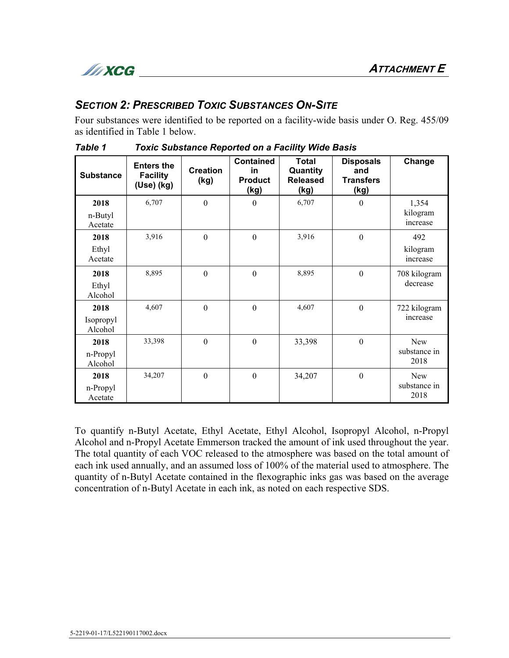

# *SECTION 2: PRESCRIBED TOXIC SUBSTANCES ON-SITE*

Four substances were identified to be reported on a facility-wide basis under O. Reg. 455/09 as identified in Table 1 below.

| <b>Substance</b>             | <b>Enters the</b><br><b>Facility</b><br>(Use) (kg) | <b>Creation</b><br>(kg) | <b>Contained</b><br>in<br><b>Product</b><br>(kg) | <b>Total</b><br>Quantity<br><b>Released</b><br>(kg) | <b>Disposals</b><br>and<br><b>Transfers</b><br><u>(kg)</u> | Change                        |
|------------------------------|----------------------------------------------------|-------------------------|--------------------------------------------------|-----------------------------------------------------|------------------------------------------------------------|-------------------------------|
| 2018<br>n-Butyl<br>Acetate   | 6,707                                              | $\boldsymbol{0}$        | $\theta$                                         | 6,707                                               | $\theta$                                                   | 1,354<br>kilogram<br>increase |
| 2018<br>Ethyl<br>Acetate     | 3,916                                              | $\boldsymbol{0}$        | $\mathbf{0}$                                     | 3,916                                               | $\mathbf{0}$                                               | 492<br>kilogram<br>increase   |
| 2018<br>Ethyl<br>Alcohol     | 8,895                                              | $\boldsymbol{0}$        | $\boldsymbol{0}$                                 | 8,895                                               | $\boldsymbol{0}$                                           | 708 kilogram<br>decrease      |
| 2018<br>Isopropyl<br>Alcohol | 4,607                                              | $\boldsymbol{0}$        | $\boldsymbol{0}$                                 | 4,607                                               | $\boldsymbol{0}$                                           | 722 kilogram<br>increase      |
| 2018<br>n-Propyl<br>Alcohol  | 33,398                                             | $\boldsymbol{0}$        | $\boldsymbol{0}$                                 | 33,398                                              | $\boldsymbol{0}$                                           | New<br>substance in<br>2018   |
| 2018<br>n-Propyl<br>Acetate  | 34,207                                             | $\boldsymbol{0}$        | $\boldsymbol{0}$                                 | 34,207                                              | $\boldsymbol{0}$                                           | New<br>substance in<br>2018   |

*Table 1 Toxic Substance Reported on a Facility Wide Basis*

To quantify n-Butyl Acetate, Ethyl Acetate, Ethyl Alcohol, Isopropyl Alcohol, n-Propyl Alcohol and n-Propyl Acetate Emmerson tracked the amount of ink used throughout the year. The total quantity of each VOC released to the atmosphere was based on the total amount of each ink used annually, and an assumed loss of 100% of the material used to atmosphere. The quantity of n-Butyl Acetate contained in the flexographic inks gas was based on the average concentration of n-Butyl Acetate in each ink, as noted on each respective SDS.